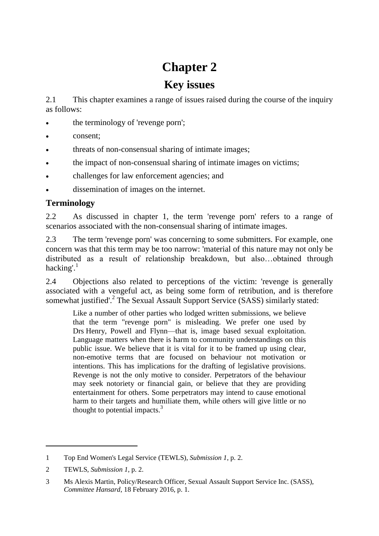# **Chapter 2**

## **Key issues**

2.1 This chapter examines a range of issues raised during the course of the inquiry as follows:

- the terminology of 'revenge porn';
- consent;
- threats of non-consensual sharing of intimate images;
- the impact of non-consensual sharing of intimate images on victims;
- challenges for law enforcement agencies; and
- dissemination of images on the internet.

## **Terminology**

2.2 As discussed in chapter 1, the term 'revenge porn' refers to a range of scenarios associated with the non-consensual sharing of intimate images.

2.3 The term 'revenge porn' was concerning to some submitters. For example, one concern was that this term may be too narrow: 'material of this nature may not only be distributed as a result of relationship breakdown, but also…obtained through hacking'. $<sup>1</sup>$ </sup>

2.4 Objections also related to perceptions of the victim: 'revenge is generally associated with a vengeful act, as being some form of retribution, and is therefore somewhat justified'.<sup>2</sup> The Sexual Assault Support Service (SASS) similarly stated:

Like a number of other parties who lodged written submissions, we believe that the term "revenge porn" is misleading. We prefer one used by Drs Henry, Powell and Flynn—that is, image based sexual exploitation. Language matters when there is harm to community understandings on this public issue. We believe that it is vital for it to be framed up using clear, non-emotive terms that are focused on behaviour not motivation or intentions. This has implications for the drafting of legislative provisions. Revenge is not the only motive to consider. Perpetrators of the behaviour may seek notoriety or financial gain, or believe that they are providing entertainment for others. Some perpetrators may intend to cause emotional harm to their targets and humiliate them, while others will give little or no thought to potential impacts. $3$ 

<sup>1</sup> Top End Women's Legal Service (TEWLS), *Submission 1*, p. 2.

<sup>2</sup> TEWLS, *Submission 1*, p. 2.

<sup>3</sup> Ms Alexis Martin, Policy/Research Officer, Sexual Assault Support Service Inc. (SASS), *Committee Hansard*, 18 February 2016, p. 1.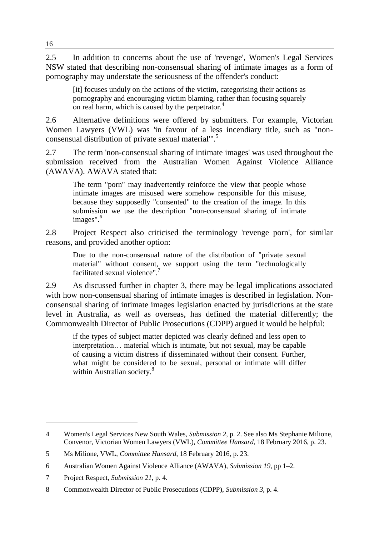2.5 In addition to concerns about the use of 'revenge', Women's Legal Services NSW stated that describing non-consensual sharing of intimate images as a form of pornography may understate the seriousness of the offender's conduct:

[it] focuses unduly on the actions of the victim, categorising their actions as pornography and encouraging victim blaming, rather than focusing squarely on real harm, which is caused by the perpetrator.<sup>4</sup>

2.6 Alternative definitions were offered by submitters. For example, Victorian Women Lawyers (VWL) was 'in favour of a less incendiary title, such as "nonconsensual distribution of private sexual material".<sup>5</sup>

2.7 The term 'non-consensual sharing of intimate images' was used throughout the submission received from the Australian Women Against Violence Alliance (AWAVA). AWAVA stated that:

The term "porn" may inadvertently reinforce the view that people whose intimate images are misused were somehow responsible for this misuse, because they supposedly "consented" to the creation of the image. In this submission we use the description "non-consensual sharing of intimate images". 6

2.8 Project Respect also criticised the terminology 'revenge porn', for similar reasons, and provided another option:

Due to the non-consensual nature of the distribution of "private sexual material" without consent, we support using the term "technologically facilitated sexual violence".<sup>7</sup>

2.9 As discussed further in chapter 3, there may be legal implications associated with how non-consensual sharing of intimate images is described in legislation. Nonconsensual sharing of intimate images legislation enacted by jurisdictions at the state level in Australia, as well as overseas, has defined the material differently; the Commonwealth Director of Public Prosecutions (CDPP) argued it would be helpful:

if the types of subject matter depicted was clearly defined and less open to interpretation… material which is intimate, but not sexual, may be capable of causing a victim distress if disseminated without their consent. Further, what might be considered to be sexual, personal or intimate will differ within Australian society.<sup>8</sup>

<sup>4</sup> Women's Legal Services New South Wales, *Submission 2*, p. 2. See also Ms Stephanie Milione, Convenor, Victorian Women Lawyers (VWL), *Committee Hansard*, 18 February 2016, p. 23.

<sup>5</sup> Ms Milione, VWL, *Committee Hansard*, 18 February 2016, p. 23.

<sup>6</sup> Australian Women Against Violence Alliance (AWAVA), *Submission 19*, pp 1–2.

<sup>7</sup> Project Respect, *Submission 21*, p. 4.

<sup>8</sup> Commonwealth Director of Public Prosecutions (CDPP), *Submission 3*, p. 4.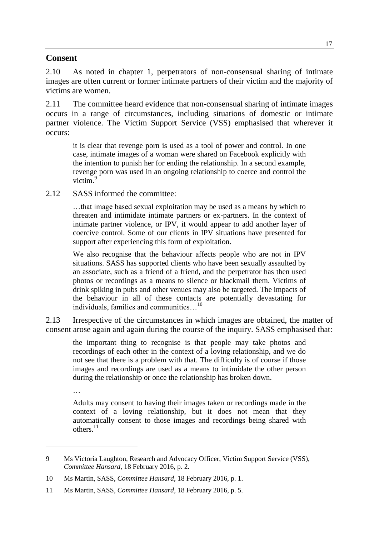#### **Consent**

2.10 As noted in chapter 1, perpetrators of non-consensual sharing of intimate images are often current or former intimate partners of their victim and the majority of victims are women.

2.11 The committee heard evidence that non-consensual sharing of intimate images occurs in a range of circumstances, including situations of domestic or intimate partner violence. The Victim Support Service (VSS) emphasised that wherever it occurs:

it is clear that revenge porn is used as a tool of power and control. In one case, intimate images of a woman were shared on Facebook explicitly with the intention to punish her for ending the relationship. In a second example, revenge porn was used in an ongoing relationship to coerce and control the victim.<sup>9</sup>

2.12 SASS informed the committee:

…that image based sexual exploitation may be used as a means by which to threaten and intimidate intimate partners or ex-partners. In the context of intimate partner violence, or IPV, it would appear to add another layer of coercive control. Some of our clients in IPV situations have presented for support after experiencing this form of exploitation.

We also recognise that the behaviour affects people who are not in IPV situations. SASS has supported clients who have been sexually assaulted by an associate, such as a friend of a friend, and the perpetrator has then used photos or recordings as a means to silence or blackmail them. Victims of drink spiking in pubs and other venues may also be targeted. The impacts of the behaviour in all of these contacts are potentially devastating for individuals, families and communities...<sup>10</sup>

2.13 Irrespective of the circumstances in which images are obtained, the matter of consent arose again and again during the course of the inquiry. SASS emphasised that:

the important thing to recognise is that people may take photos and recordings of each other in the context of a loving relationship, and we do not see that there is a problem with that. The difficulty is of course if those images and recordings are used as a means to intimidate the other person during the relationship or once the relationship has broken down.

…

 $\overline{a}$ 

Adults may consent to having their images taken or recordings made in the context of a loving relationship, but it does not mean that they automatically consent to those images and recordings being shared with others.<sup>11</sup>

<sup>9</sup> Ms Victoria Laughton, Research and Advocacy Officer, Victim Support Service (VSS), *Committee Hansard*, 18 February 2016, p. 2.

<sup>10</sup> Ms Martin, SASS, *Committee Hansard*, 18 February 2016, p. 1.

<sup>11</sup> Ms Martin, SASS, *Committee Hansard*, 18 February 2016, p. 5.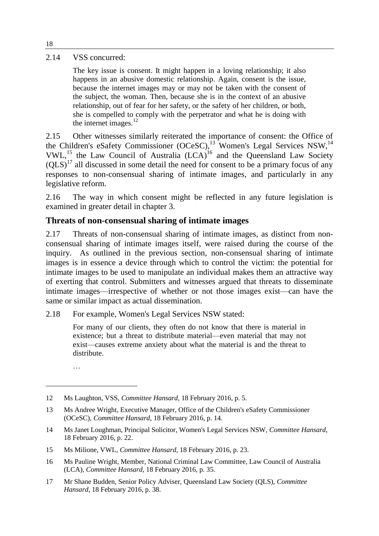#### 2.14 VSS concurred:

The key issue is consent. It might happen in a loving relationship; it also happens in an abusive domestic relationship. Again, consent is the issue, because the internet images may or may not be taken with the consent of the subject, the woman. Then, because she is in the context of an abusive relationship, out of fear for her safety, or the safety of her children, or both, she is compelled to comply with the perpetrator and what he is doing with the internet images.<sup>12</sup>

2.15 Other witnesses similarly reiterated the importance of consent: the Office of the Children's eSafety Commissioner  $(OCeSC)^{13}$  Women's Legal Services NSW,<sup>14</sup> VWL,<sup>15</sup> the Law Council of Australia  $(LCA)^{16}$  and the Queensland Law Society  $(OLS)<sup>17</sup>$  all discussed in some detail the need for consent to be a primary focus of any responses to non-consensual sharing of intimate images, and particularly in any legislative reform.

2.16 The way in which consent might be reflected in any future legislation is examined in greater detail in chapter 3.

#### **Threats of non-consensual sharing of intimate images**

2.17 Threats of non-consensual sharing of intimate images, as distinct from nonconsensual sharing of intimate images itself, were raised during the course of the inquiry. As outlined in the previous section, non-consensual sharing of intimate images is in essence a device through which to control the victim: the potential for intimate images to be used to manipulate an individual makes them an attractive way of exerting that control. Submitters and witnesses argued that threats to disseminate intimate images—irrespective of whether or not those images exist—can have the same or similar impact as actual dissemination.

2.18 For example, Women's Legal Services NSW stated:

For many of our clients, they often do not know that there is material in existence; but a threat to distribute material—even material that may not exist—causes extreme anxiety about what the material is and the threat to distribute.

…

- 14 Ms Janet Loughman, Principal Solicitor, Women's Legal Services NSW, *Committee Hansard*, 18 February 2016, p. 22.
- 15 Ms Milione, VWL, *Committee Hansard*, 18 February 2016, p. 23.
- 16 Ms Pauline Wright, Member, National Criminal Law Committee, Law Council of Australia (LCA), *Committee Hansard*, 18 February 2016, p. 35.
- 17 Mr Shane Budden, Senior Policy Adviser, Queensland Law Society (QLS), *Committee Hansard*, 18 February 2016, p. 38.

<sup>12</sup> Ms Laughton, VSS, *Committee Hansard*, 18 February 2016, p. 5.

<sup>13</sup> Ms Andree Wright, Executive Manager, Office of the Children's eSafety Commissioner (OCeSC), *Committee Hansard*, 18 February 2016, p. 14.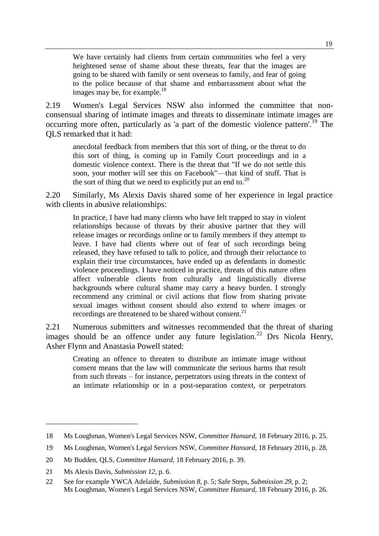We have certainly had clients from certain communities who feel a very heightened sense of shame about these threats, fear that the images are going to be shared with family or sent overseas to family, and fear of going to the police because of that shame and embarrassment about what the images may be, for example.<sup>18</sup>

2.19 Women's Legal Services NSW also informed the committee that nonconsensual sharing of intimate images and threats to disseminate intimate images are occurring more often, particularly as 'a part of the domestic violence pattern'.<sup>19</sup> The QLS remarked that it had:

anecdotal feedback from members that this sort of thing, or the threat to do this sort of thing, is coming up in Family Court proceedings and in a domestic violence context. There is the threat that "If we do not settle this soon, your mother will see this on Facebook"—that kind of stuff. That is the sort of thing that we need to explicitly put an end to.<sup>20</sup>

2.20 Similarly, Ms Alexis Davis shared some of her experience in legal practice with clients in abusive relationships:

In practice, I have had many clients who have felt trapped to stay in violent relationships because of threats by their abusive partner that they will release images or recordings online or to family members if they attempt to leave. I have had clients where out of fear of such recordings being released, they have refused to talk to police, and through their reluctance to explain their true circumstances, have ended up as defendants in domestic violence proceedings. I have noticed in practice, threats of this nature often affect vulnerable clients from culturally and linguistically diverse backgrounds where cultural shame may carry a heavy burden. I strongly recommend any criminal or civil actions that flow from sharing private sexual images without consent should also extend to where images or recordings are threatened to be shared without consent. $^{21}$ 

2.21 Numerous submitters and witnesses recommended that the threat of sharing images should be an offence under any future legislation.<sup>22</sup> Drs Nicola Henry, Asher Flynn and Anastasia Powell stated:

Creating an offence to threaten to distribute an intimate image without consent means that the law will communicate the serious harms that result from such threats – for instance, perpetrators using threats in the context of an intimate relationship or in a post-separation context, or perpetrators

<sup>18</sup> Ms Loughman, Women's Legal Services NSW, *Committee Hansard*, 18 February 2016, p. 25.

<sup>19</sup> Ms Loughman, Women's Legal Services NSW, *Committee Hansard*, 18 February 2016, p. 28.

<sup>20</sup> Mr Budden, QLS, *Committee Hansard*, 18 February 2016, p. 39.

<sup>21</sup> Ms Alexis Davis, *Submission 12*, p. 6.

<sup>22</sup> See for example YWCA Adelaide, *Submission 8*, p. 5; Safe Steps, *Submission 29*, p. 2; Ms Loughman, Women's Legal Services NSW, *Committee Hansard*, 18 February 2016, p. 26.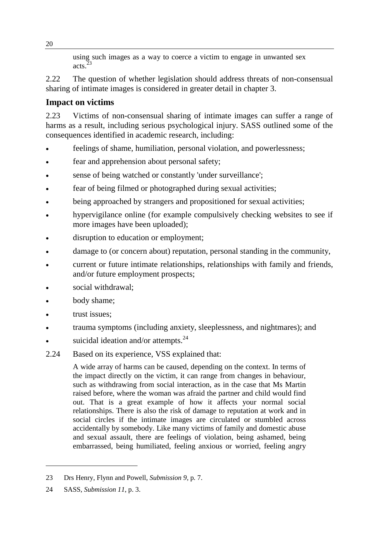using such images as a way to coerce a victim to engage in unwanted sex acts. $\frac{3}{2}$ 

2.22 The question of whether legislation should address threats of non-consensual sharing of intimate images is considered in greater detail in chapter 3.

## **Impact on victims**

2.23 Victims of non-consensual sharing of intimate images can suffer a range of harms as a result, including serious psychological injury. SASS outlined some of the consequences identified in academic research, including:

- feelings of shame, humiliation, personal violation, and powerlessness;
- fear and apprehension about personal safety;
- sense of being watched or constantly 'under surveillance';
- fear of being filmed or photographed during sexual activities;
- being approached by strangers and propositioned for sexual activities;
- hypervigilance online (for example compulsively checking websites to see if more images have been uploaded);
- disruption to education or employment;
- damage to (or concern about) reputation, personal standing in the community,
- current or future intimate relationships, relationships with family and friends, and/or future employment prospects;
- social withdrawal;
- body shame;
- trust issues;
- trauma symptoms (including anxiety, sleeplessness, and nightmares); and
- suicidal ideation and/or attempts.<sup>24</sup>
- 2.24 Based on its experience, VSS explained that:

A wide array of harms can be caused, depending on the context. In terms of the impact directly on the victim, it can range from changes in behaviour, such as withdrawing from social interaction, as in the case that Ms Martin raised before, where the woman was afraid the partner and child would find out. That is a great example of how it affects your normal social relationships. There is also the risk of damage to reputation at work and in social circles if the intimate images are circulated or stumbled across accidentally by somebody. Like many victims of family and domestic abuse and sexual assault, there are feelings of violation, being ashamed, being embarrassed, being humiliated, feeling anxious or worried, feeling angry

<sup>23</sup> Drs Henry, Flynn and Powell, *Submission 9*, p. 7.

<sup>24</sup> SASS, *Submission 11*, p. 3.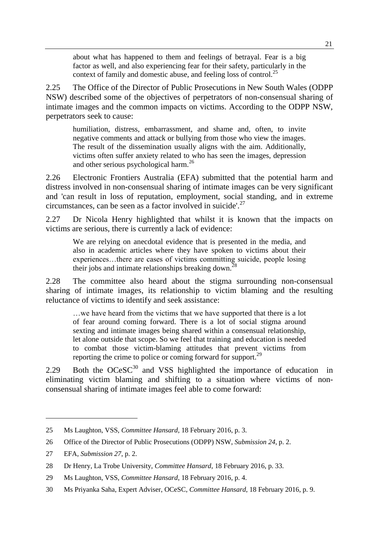about what has happened to them and feelings of betrayal. Fear is a big factor as well, and also experiencing fear for their safety, particularly in the context of family and domestic abuse, and feeling loss of control.<sup>25</sup>

2.25 The Office of the Director of Public Prosecutions in New South Wales (ODPP NSW) described some of the objectives of perpetrators of non-consensual sharing of intimate images and the common impacts on victims. According to the ODPP NSW, perpetrators seek to cause:

humiliation, distress, embarrassment, and shame and, often, to invite negative comments and attack or bullying from those who view the images. The result of the dissemination usually aligns with the aim. Additionally, victims often suffer anxiety related to who has seen the images, depression and other serious psychological harm.<sup>26</sup>

2.26 Electronic Frontiers Australia (EFA) submitted that the potential harm and distress involved in non-consensual sharing of intimate images can be very significant and 'can result in loss of reputation, employment, social standing, and in extreme circumstances, can be seen as a factor involved in suicide'.<sup>27</sup>

2.27 Dr Nicola Henry highlighted that whilst it is known that the impacts on victims are serious, there is currently a lack of evidence:

We are relying on anecdotal evidence that is presented in the media, and also in academic articles where they have spoken to victims about their experiences…there are cases of victims committing suicide, people losing their jobs and intimate relationships breaking down.<sup>28</sup>

2.28 The committee also heard about the stigma surrounding non-consensual sharing of intimate images, its relationship to victim blaming and the resulting reluctance of victims to identify and seek assistance:

…we have heard from the victims that we have supported that there is a lot of fear around coming forward. There is a lot of social stigma around sexting and intimate images being shared within a consensual relationship, let alone outside that scope. So we feel that training and education is needed to combat those victim-blaming attitudes that prevent victims from reporting the crime to police or coming forward for support.<sup>29</sup>

2.29 Both the  $OCeSC^{30}$  and VSS highlighted the importance of education in eliminating victim blaming and shifting to a situation where victims of nonconsensual sharing of intimate images feel able to come forward:

<sup>25</sup> Ms Laughton, VSS, *Committee Hansard*, 18 February 2016, p. 3.

<sup>26</sup> Office of the Director of Public Prosecutions (ODPP) NSW, *Submission 24*, p. 2.

<sup>27</sup> EFA, *Submission 27*, p. 2.

<sup>28</sup> Dr Henry, La Trobe University, *Committee Hansard*, 18 February 2016, p. 33.

<sup>29</sup> Ms Laughton, VSS, *Committee Hansard*, 18 February 2016, p. 4.

<sup>30</sup> Ms Priyanka Saha, Expert Adviser, OCeSC, *Committee Hansard*, 18 February 2016, p. 9.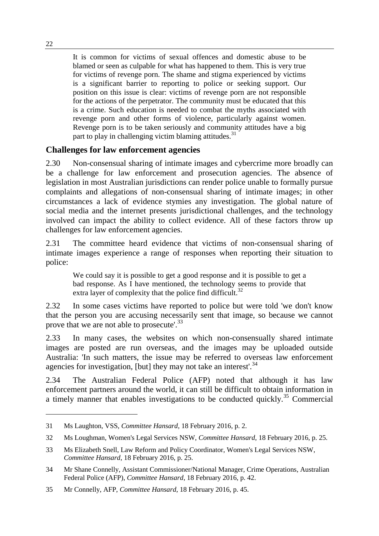It is common for victims of sexual offences and domestic abuse to be blamed or seen as culpable for what has happened to them. This is very true for victims of revenge porn. The shame and stigma experienced by victims is a significant barrier to reporting to police or seeking support. Our position on this issue is clear: victims of revenge porn are not responsible for the actions of the perpetrator. The community must be educated that this is a crime. Such education is needed to combat the myths associated with revenge porn and other forms of violence, particularly against women. Revenge porn is to be taken seriously and community attitudes have a big part to play in challenging victim blaming attitudes.<sup>31</sup>

### **Challenges for law enforcement agencies**

2.30 Non-consensual sharing of intimate images and cybercrime more broadly can be a challenge for law enforcement and prosecution agencies. The absence of legislation in most Australian jurisdictions can render police unable to formally pursue complaints and allegations of non-consensual sharing of intimate images; in other circumstances a lack of evidence stymies any investigation. The global nature of social media and the internet presents jurisdictional challenges, and the technology involved can impact the ability to collect evidence. All of these factors throw up challenges for law enforcement agencies.

2.31 The committee heard evidence that victims of non-consensual sharing of intimate images experience a range of responses when reporting their situation to police:

We could say it is possible to get a good response and it is possible to get a bad response. As I have mentioned, the technology seems to provide that extra layer of complexity that the police find difficult.<sup>32</sup>

2.32 In some cases victims have reported to police but were told 'we don't know that the person you are accusing necessarily sent that image, so because we cannot prove that we are not able to prosecute'.<sup>33</sup>

2.33 In many cases, the websites on which non-consensually shared intimate images are posted are run overseas, and the images may be uploaded outside Australia: 'In such matters, the issue may be referred to overseas law enforcement agencies for investigation, [but] they may not take an interest'.  $34$ 

2.34 The Australian Federal Police (AFP) noted that although it has law enforcement partners around the world, it can still be difficult to obtain information in a timely manner that enables investigations to be conducted quickly.<sup>35</sup> Commercial

<sup>31</sup> Ms Laughton, VSS, *Committee Hansard*, 18 February 2016, p. 2.

<sup>32</sup> Ms Loughman, Women's Legal Services NSW, *Committee Hansard*, 18 February 2016, p. 25.

<sup>33</sup> Ms Elizabeth Snell, Law Reform and Policy Coordinator, Women's Legal Services NSW, *Committee Hansard*, 18 February 2016, p. 25.

<sup>34</sup> Mr Shane Connelly, Assistant Commissioner/National Manager, Crime Operations, Australian Federal Police (AFP), *Committee Hansard*, 18 February 2016, p. 42.

<sup>35</sup> Mr Connelly, AFP, *Committee Hansard*, 18 February 2016, p. 45.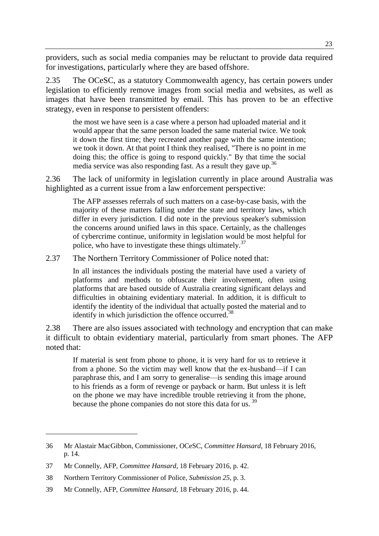providers, such as social media companies may be reluctant to provide data required for investigations, particularly where they are based offshore.

2.35 The OCeSC, as a statutory Commonwealth agency, has certain powers under legislation to efficiently remove images from social media and websites, as well as images that have been transmitted by email. This has proven to be an effective strategy, even in response to persistent offenders:

the most we have seen is a case where a person had uploaded material and it would appear that the same person loaded the same material twice. We took it down the first time; they recreated another page with the same intention; we took it down. At that point I think they realised, "There is no point in me doing this; the office is going to respond quickly." By that time the social media service was also responding fast. As a result they gave up.<sup>36</sup>

2.36 The lack of uniformity in legislation currently in place around Australia was highlighted as a current issue from a law enforcement perspective:

The AFP assesses referrals of such matters on a case-by-case basis, with the majority of these matters falling under the state and territory laws, which differ in every jurisdiction. I did note in the previous speaker's submission the concerns around unified laws in this space. Certainly, as the challenges of cybercrime continue, uniformity in legislation would be most helpful for police, who have to investigate these things ultimately. $37$ 

2.37 The Northern Territory Commissioner of Police noted that:

In all instances the individuals posting the material have used a variety of platforms and methods to obfuscate their involvement, often using platforms that are based outside of Australia creating significant delays and difficulties in obtaining evidentiary material. In addition, it is difficult to identify the identity of the individual that actually posted the material and to identify in which jurisdiction the offence occurred.<sup>38</sup>

2.38 There are also issues associated with technology and encryption that can make it difficult to obtain evidentiary material, particularly from smart phones. The AFP noted that:

If material is sent from phone to phone, it is very hard for us to retrieve it from a phone. So the victim may well know that the ex-husband—if I can paraphrase this, and I am sorry to generalise—is sending this image around to his friends as a form of revenge or payback or harm. But unless it is left on the phone we may have incredible trouble retrieving it from the phone, because the phone companies do not store this data for us.<sup>39</sup>

<sup>36</sup> Mr Alastair MacGibbon, Commissioner, OCeSC, *Committee Hansard*, 18 February 2016, p. 14.

<sup>37</sup> Mr Connelly, AFP, *Committee Hansard*, 18 February 2016, p. 42.

<sup>38</sup> Northern Territory Commissioner of Police, *Submission 25*, p. 3.

<sup>39</sup> Mr Connelly, AFP, *Committee Hansard*, 18 February 2016, p. 44.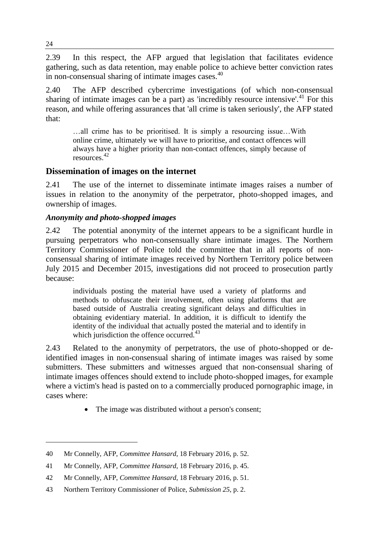2.39 In this respect, the AFP argued that legislation that facilitates evidence gathering, such as data retention, may enable police to achieve better conviction rates in non-consensual sharing of intimate images cases.<sup>40</sup>

2.40 The AFP described cybercrime investigations (of which non-consensual sharing of intimate images can be a part) as 'incredibly resource intensive'.<sup>41</sup> For this reason, and while offering assurances that 'all crime is taken seriously', the AFP stated that:

…all crime has to be prioritised. It is simply a resourcing issue…With online crime, ultimately we will have to prioritise, and contact offences will always have a higher priority than non-contact offences, simply because of resources.<sup>42</sup>

### **Dissemination of images on the internet**

2.41 The use of the internet to disseminate intimate images raises a number of issues in relation to the anonymity of the perpetrator, photo-shopped images, and ownership of images.

#### *Anonymity and photo-shopped images*

2.42 The potential anonymity of the internet appears to be a significant hurdle in pursuing perpetrators who non-consensually share intimate images. The Northern Territory Commissioner of Police told the committee that in all reports of nonconsensual sharing of intimate images received by Northern Territory police between July 2015 and December 2015, investigations did not proceed to prosecution partly because:

individuals posting the material have used a variety of platforms and methods to obfuscate their involvement, often using platforms that are based outside of Australia creating significant delays and difficulties in obtaining evidentiary material. In addition, it is difficult to identify the identity of the individual that actually posted the material and to identify in which jurisdiction the offence occurred. $43$ 

2.43 Related to the anonymity of perpetrators, the use of photo-shopped or deidentified images in non-consensual sharing of intimate images was raised by some submitters. These submitters and witnesses argued that non-consensual sharing of intimate images offences should extend to include photo-shopped images, for example where a victim's head is pasted on to a commercially produced pornographic image, in cases where:

The image was distributed without a person's consent;

<sup>40</sup> Mr Connelly, AFP, *Committee Hansard*, 18 February 2016, p. 52.

<sup>41</sup> Mr Connelly, AFP, *Committee Hansard*, 18 February 2016, p. 45.

<sup>42</sup> Mr Connelly, AFP, *Committee Hansard*, 18 February 2016, p. 51.

<sup>43</sup> Northern Territory Commissioner of Police, *Submission 25*, p. 2.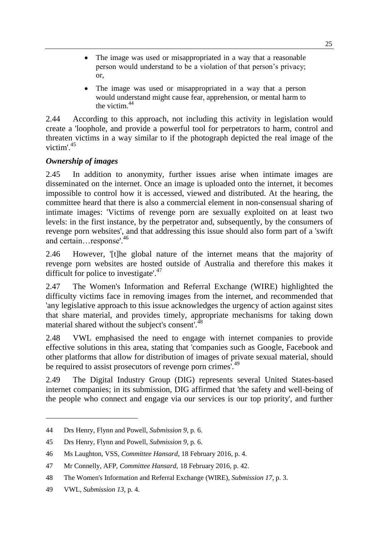- The image was used or misappropriated in a way that a reasonable person would understand to be a violation of that person's privacy; or,
- The image was used or misappropriated in a way that a person would understand might cause fear, apprehension, or mental harm to the victim  $44$

2.44 According to this approach, not including this activity in legislation would create a 'loophole, and provide a powerful tool for perpetrators to harm, control and threaten victims in a way similar to if the photograph depicted the real image of the victim'.<sup>45</sup>

### *Ownership of images*

2.45 In addition to anonymity, further issues arise when intimate images are disseminated on the internet. Once an image is uploaded onto the internet, it becomes impossible to control how it is accessed, viewed and distributed. At the hearing, the committee heard that there is also a commercial element in non-consensual sharing of intimate images: 'Victims of revenge porn are sexually exploited on at least two levels: in the first instance, by the perpetrator and, subsequently, by the consumers of revenge porn websites', and that addressing this issue should also form part of a 'swift and certain…response'.<sup>46</sup>

2.46 However, '[t]he global nature of the internet means that the majority of revenge porn websites are hosted outside of Australia and therefore this makes it difficult for police to investigate'.<sup>47</sup>

2.47 The Women's Information and Referral Exchange (WIRE) highlighted the difficulty victims face in removing images from the internet, and recommended that 'any legislative approach to this issue acknowledges the urgency of action against sites that share material, and provides timely, appropriate mechanisms for taking down material shared without the subject's consent<sup>748</sup>

2.48 VWL emphasised the need to engage with internet companies to provide effective solutions in this area, stating that 'companies such as Google, Facebook and other platforms that allow for distribution of images of private sexual material, should be required to assist prosecutors of revenge porn crimes'.<sup>49</sup>

2.49 The Digital Industry Group (DIG) represents several United States-based internet companies; in its submission, DIG affirmed that 'the safety and well-being of the people who connect and engage via our services is our top priority', and further

<sup>44</sup> Drs Henry, Flynn and Powell, *Submission 9*, p. 6.

<sup>45</sup> Drs Henry, Flynn and Powell, *Submission 9*, p. 6.

<sup>46</sup> Ms Laughton, VSS, *Committee Hansard*, 18 February 2016, p. 4.

<sup>47</sup> Mr Connelly, AFP, *Committee Hansard*, 18 February 2016, p. 42.

<sup>48</sup> The Women's Information and Referral Exchange (WIRE), *Submission 17*, p. 3.

<sup>49</sup> VWL, *Submission 13*, p. 4.